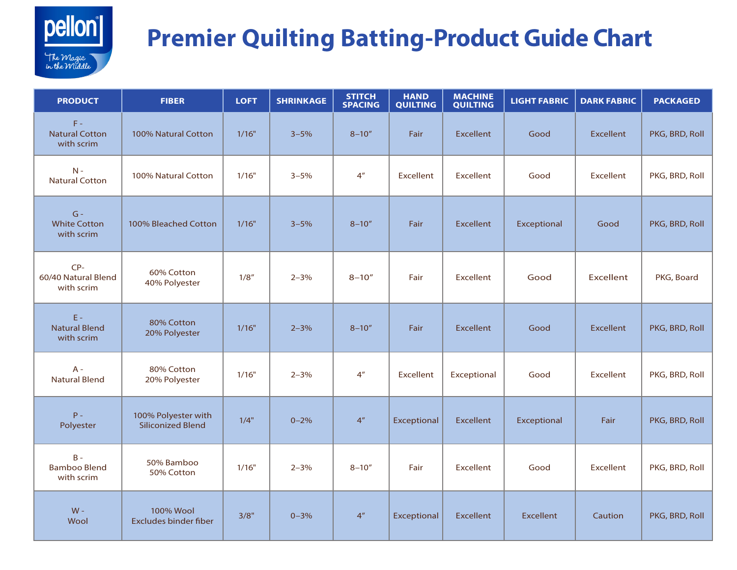

## **Premier Quilting Batting-Product Guide Chart**

| <b>PRODUCT</b>                               | <b>FIBER</b>                                     | <b>LOFT</b> | <b>SHRINKAGE</b> | <b>STITCH</b><br><b>SPACING</b> | <b>HAND</b><br><b>QUILTING</b> | <b>MACHINE</b><br><b>QUILTING</b> | <b>LIGHT FABRIC</b> | <b>DARK FABRIC</b> | <b>PACKAGED</b> |
|----------------------------------------------|--------------------------------------------------|-------------|------------------|---------------------------------|--------------------------------|-----------------------------------|---------------------|--------------------|-----------------|
| $F -$<br><b>Natural Cotton</b><br>with scrim | 100% Natural Cotton                              | 1/16"       | $3 - 5%$         | $8 - 10''$                      | Fair                           | <b>Excellent</b>                  | Good                | <b>Excellent</b>   | PKG, BRD, Roll  |
| $N -$<br><b>Natural Cotton</b>               | 100% Natural Cotton                              | 1/16"       | $3 - 5%$         | 4 <sup>''</sup>                 | Excellent                      | <b>Excellent</b>                  | Good                | <b>Excellent</b>   | PKG, BRD, Roll  |
| $G -$<br><b>White Cotton</b><br>with scrim   | 100% Bleached Cotton                             | 1/16"       | $3 - 5%$         | $8 - 10''$                      | Fair                           | <b>Excellent</b>                  | Exceptional         | Good               | PKG, BRD, Roll  |
| $CP-$<br>60/40 Natural Blend<br>with scrim   | 60% Cotton<br>40% Polyester                      | 1/8''       | $2 - 3%$         | $8 - 10''$                      | Fair                           | <b>Excellent</b>                  | Good                | <b>Excellent</b>   | PKG, Board      |
| $E -$<br><b>Natural Blend</b><br>with scrim  | 80% Cotton<br>20% Polyester                      | 1/16"       | $2 - 3%$         | $8 - 10''$                      | Fair                           | <b>Excellent</b>                  | Good                | <b>Excellent</b>   | PKG, BRD, Roll  |
| $A -$<br><b>Natural Blend</b>                | 80% Cotton<br>20% Polyester                      | 1/16"       | $2 - 3%$         | 4 <sup>''</sup>                 | Excellent                      | Exceptional                       | Good                | <b>Excellent</b>   | PKG, BRD, Roll  |
| $P -$<br>Polyester                           | 100% Polyester with<br><b>Siliconized Blend</b>  | 1/4"        | $0 - 2%$         | 4 <sup>n</sup>                  | Exceptional                    | <b>Excellent</b>                  | Exceptional         | Fair               | PKG, BRD, Roll  |
| $B -$<br><b>Bamboo Blend</b><br>with scrim   | 50% Bamboo<br>50% Cotton                         | 1/16"       | $2 - 3%$         | $8 - 10''$                      | Fair                           | <b>Excellent</b>                  | Good                | <b>Excellent</b>   | PKG, BRD, Roll  |
| $W -$<br>Wool                                | <b>100% Wool</b><br><b>Excludes binder fiber</b> | 3/8"        | $0 - 3%$         | 4 <sup>''</sup>                 | Exceptional                    | Excellent                         | <b>Excellent</b>    | Caution            | PKG, BRD, Roll  |